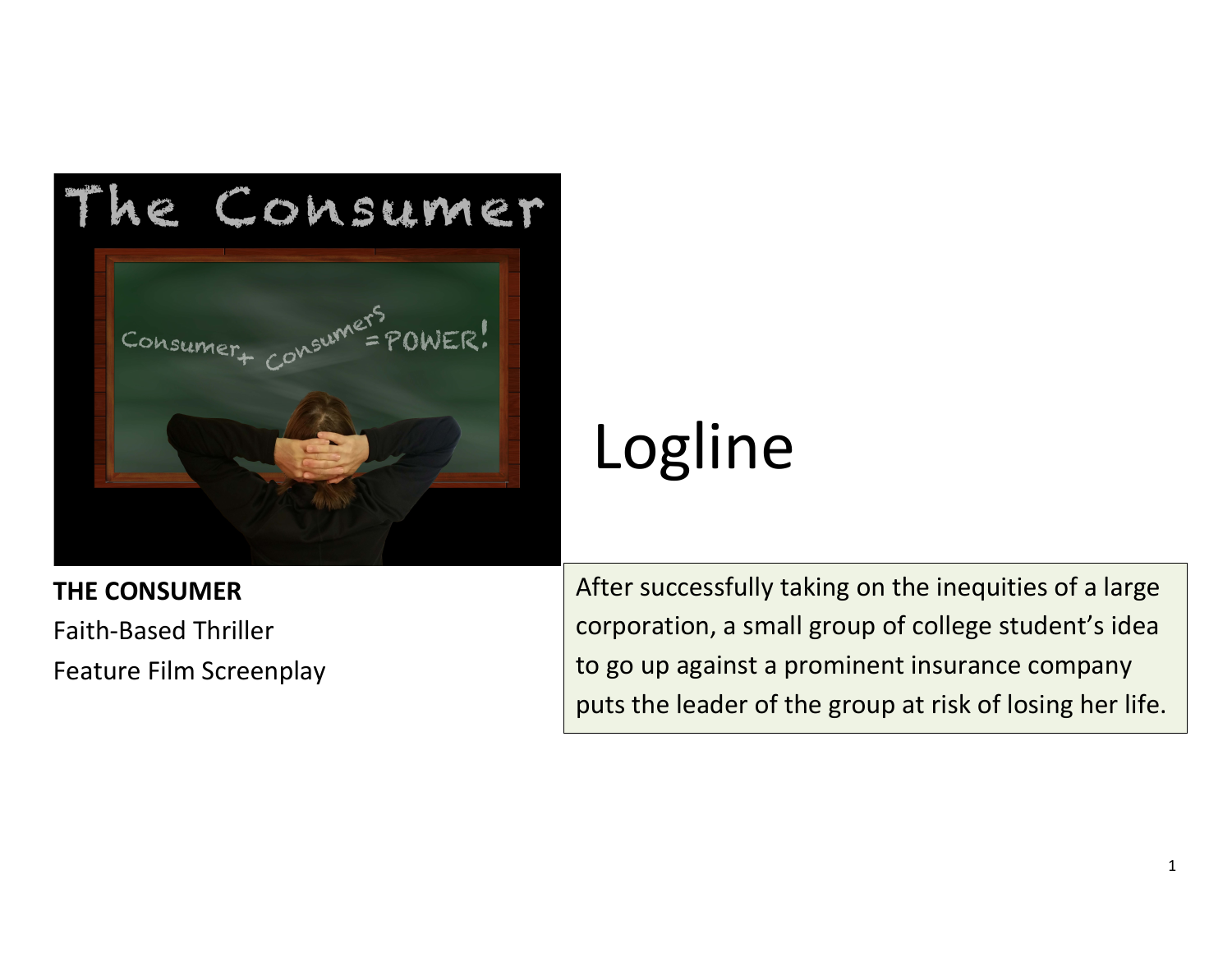

## **THE CONSUMER** Faith-Based Thriller

Feature Film Screenplay

# Logline

After successfully taking on the inequities of a large corporation, a small group of college student's idea to go up against a prominent insurance company puts the leader of the group at risk of losing her life.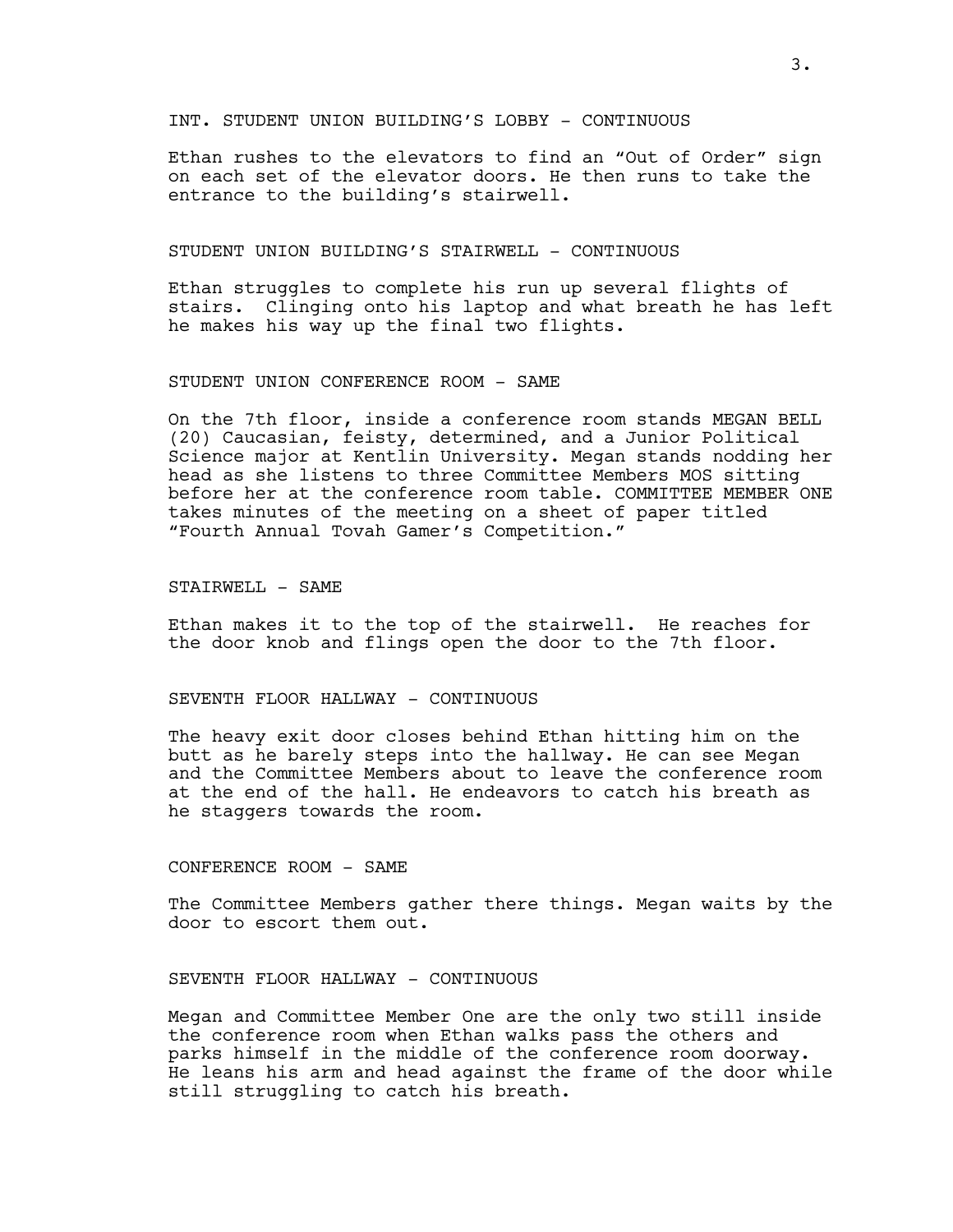INT. STUDENT UNION BUILDING'S LOBBY - CONTINUOUS

Ethan rushes to the elevators to find an "Out of Order" sign on each set of the elevator doors. He then runs to take the entrance to the building's stairwell.

#### STUDENT UNION BUILDING'S STAIRWELL - CONTINUOUS

Ethan struggles to complete his run up several flights of stairs. Clinging onto his laptop and what breath he has left he makes his way up the final two flights.

#### STUDENT UNION CONFERENCE ROOM - SAME

On the 7th floor, inside a conference room stands MEGAN BELL (20) Caucasian, feisty, determined, and a Junior Political Science major at Kentlin University. Megan stands nodding her head as she listens to three Committee Members MOS sitting before her at the conference room table. COMMITTEE MEMBER ONE takes minutes of the meeting on a sheet of paper titled "Fourth Annual Tovah Gamer's Competition."

STAIRWELL - SAME

Ethan makes it to the top of the stairwell. He reaches for the door knob and flings open the door to the 7th floor.

### SEVENTH FLOOR HALLWAY - CONTINUOUS

The heavy exit door closes behind Ethan hitting him on the butt as he barely steps into the hallway. He can see Megan and the Committee Members about to leave the conference room at the end of the hall. He endeavors to catch his breath as he staggers towards the room.

#### CONFERENCE ROOM - SAME

The Committee Members gather there things. Megan waits by the door to escort them out.

#### SEVENTH FLOOR HALLWAY - CONTINUOUS

Megan and Committee Member One are the only two still inside the conference room when Ethan walks pass the others and parks himself in the middle of the conference room doorway. He leans his arm and head against the frame of the door while still struggling to catch his breath.